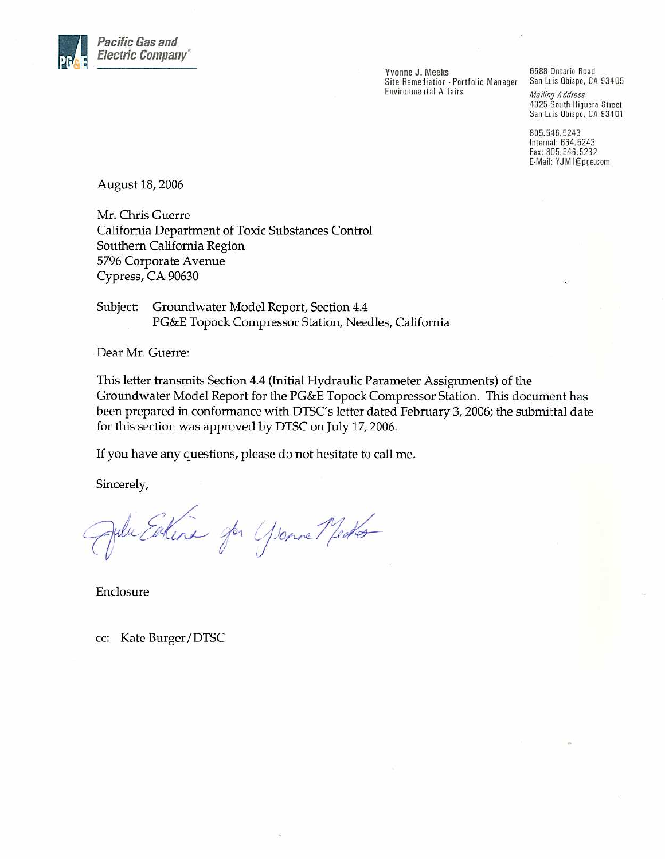

Yvonne J. Meeks Site Remediation - Portfolio Manager **Environmental Affairs** 

6588 Ontario Road San Luis Obispo, CA 93405 **Mailing Address** 4325 South Higuera Street San Luis Obispo, CA 93401

805.546.5243 Internal: 664.5243 Fax: 805.546.5232 E-Mail: YJM1@pge.com

August 18, 2006

Mr. Chris Guerre California Department of Toxic Substances Control Southern California Region 5796 Corporate Avenue Cypress, CA 90630

Subject: Groundwater Model Report, Section 4.4 PG&E Topock Compressor Station, Needles, California

Dear Mr. Guerre:

This letter transmits Section 4.4 (Initial Hydraulic Parameter Assignments) of the Groundwater Model Report for the PG&E Topock Compressor Station. This document has been prepared in conformance with DTSC's letter dated February 3, 2006; the submittal date for this section was approved by DTSC on July 17, 2006.

If you have any questions, please do not hesitate to call me.

Sincerely,

Julie Eatena par Yearne Medes

Enclosure

cc: Kate Burger/DTSC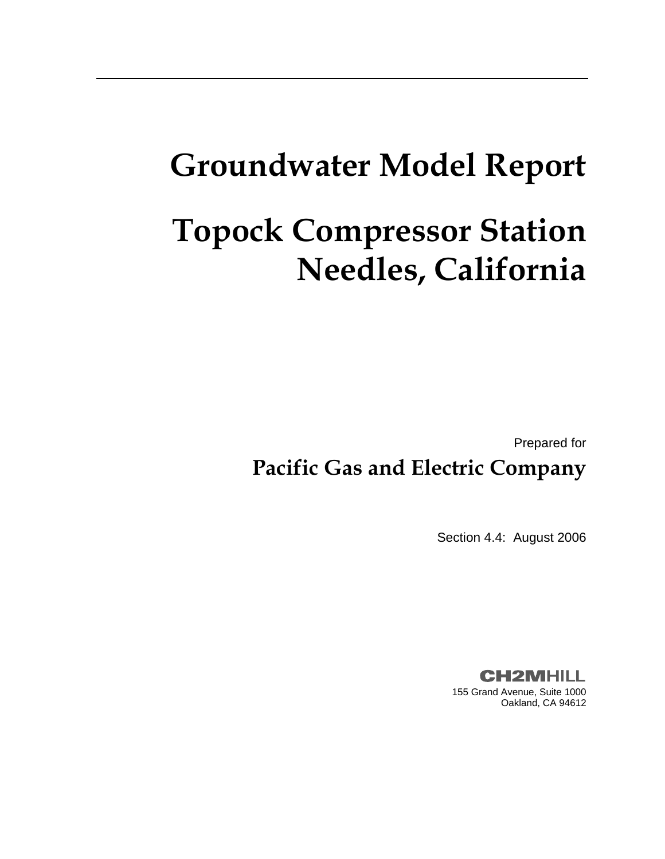# **Groundwater Model Report**

# **Topock Compressor Station Needles, California**

Prepared for

# **Pacific Gas and Electric Company**

Section 4.4: August 2006

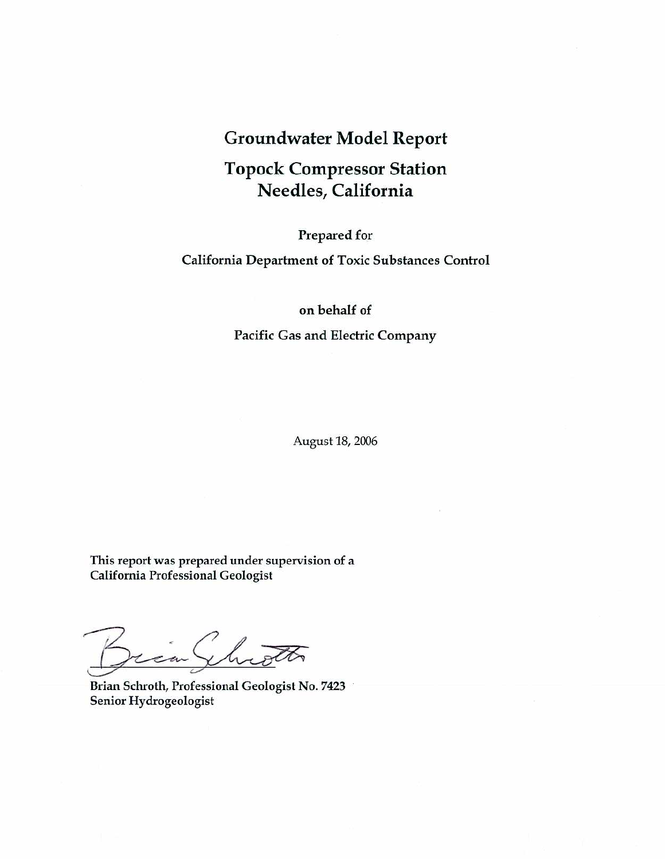## **Groundwater Model Report**

## **Topock Compressor Station** Needles, California

#### Prepared for

#### **California Department of Toxic Substances Control**

#### on behalf of

#### Pacific Gas and Electric Company

August 18, 2006

This report was prepared under supervision of a **California Professional Geologist** 

Throth ian (

Brian Schroth, Professional Geologist No. 7423 Senior Hydrogeologist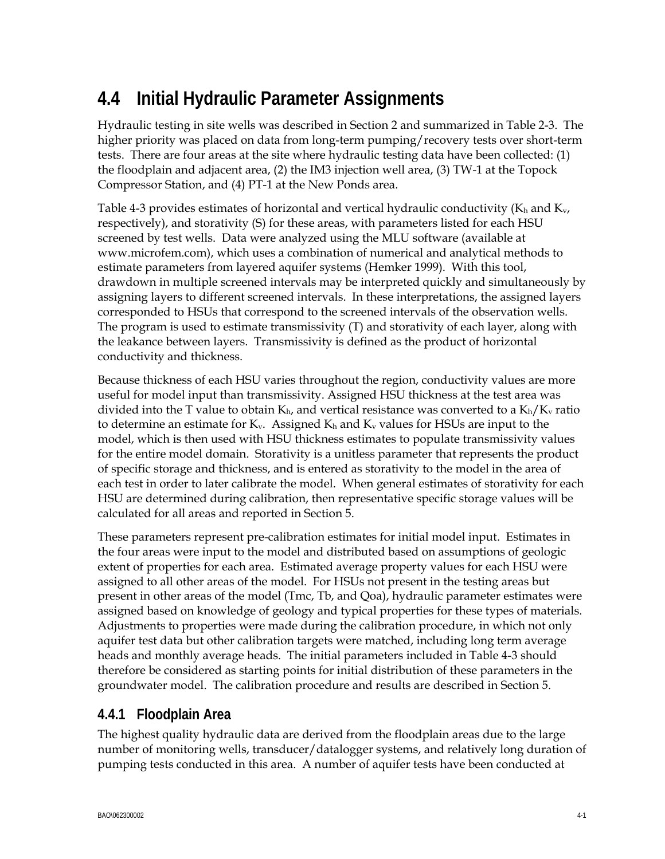# **4.4 Initial Hydraulic Parameter Assignments**

Hydraulic testing in site wells was described in Section 2 and summarized in Table 2-3. The higher priority was placed on data from long-term pumping/recovery tests over short-term tests. There are four areas at the site where hydraulic testing data have been collected: (1) the floodplain and adjacent area, (2) the IM3 injection well area, (3) TW-1 at the Topock Compressor Station, and (4) PT-1 at the New Ponds area.

Table 4-3 provides estimates of horizontal and vertical hydraulic conductivity ( $K_h$  and  $K_v$ , respectively), and storativity (S) for these areas, with parameters listed for each HSU screened by test wells. Data were analyzed using the MLU software (available at www.microfem.com), which uses a combination of numerical and analytical methods to estimate parameters from layered aquifer systems (Hemker 1999). With this tool, drawdown in multiple screened intervals may be interpreted quickly and simultaneously by assigning layers to different screened intervals. In these interpretations, the assigned layers corresponded to HSUs that correspond to the screened intervals of the observation wells. The program is used to estimate transmissivity (T) and storativity of each layer, along with the leakance between layers. Transmissivity is defined as the product of horizontal conductivity and thickness.

Because thickness of each HSU varies throughout the region, conductivity values are more useful for model input than transmissivity. Assigned HSU thickness at the test area was divided into the T value to obtain  $K_{h}$ , and vertical resistance was converted to a  $K_{h}/K_{v}$  ratio to determine an estimate for  $K_v$ . Assigned  $K_h$  and  $K_v$  values for HSUs are input to the model, which is then used with HSU thickness estimates to populate transmissivity values for the entire model domain. Storativity is a unitless parameter that represents the product of specific storage and thickness, and is entered as storativity to the model in the area of each test in order to later calibrate the model. When general estimates of storativity for each HSU are determined during calibration, then representative specific storage values will be calculated for all areas and reported in Section 5.

These parameters represent pre-calibration estimates for initial model input. Estimates in the four areas were input to the model and distributed based on assumptions of geologic extent of properties for each area. Estimated average property values for each HSU were assigned to all other areas of the model. For HSUs not present in the testing areas but present in other areas of the model (Tmc, Tb, and Qoa), hydraulic parameter estimates were assigned based on knowledge of geology and typical properties for these types of materials. Adjustments to properties were made during the calibration procedure, in which not only aquifer test data but other calibration targets were matched, including long term average heads and monthly average heads. The initial parameters included in Table 4-3 should therefore be considered as starting points for initial distribution of these parameters in the groundwater model. The calibration procedure and results are described in Section 5.

### **4.4.1 Floodplain Area**

The highest quality hydraulic data are derived from the floodplain areas due to the large number of monitoring wells, transducer/datalogger systems, and relatively long duration of pumping tests conducted in this area. A number of aquifer tests have been conducted at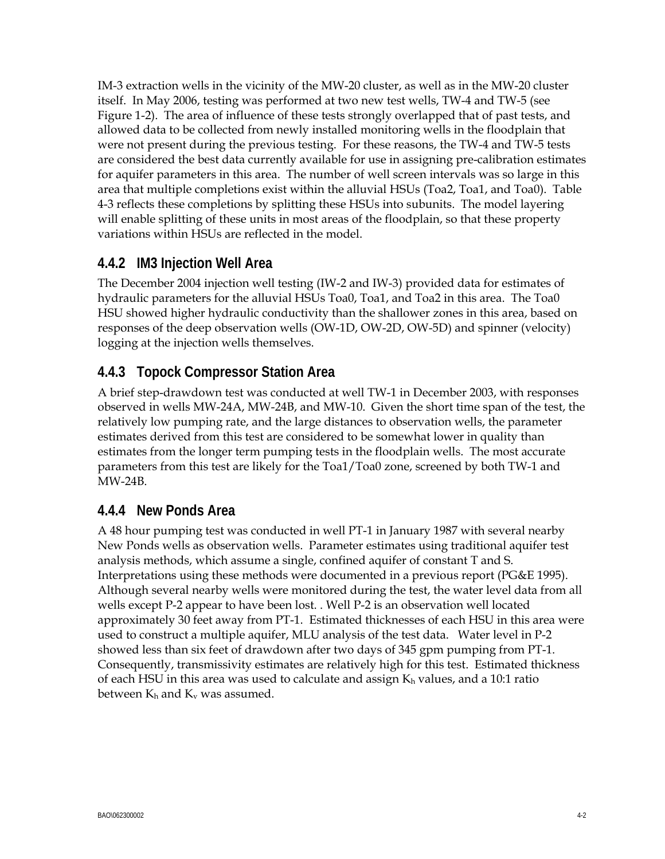IM-3 extraction wells in the vicinity of the MW-20 cluster, as well as in the MW-20 cluster itself. In May 2006, testing was performed at two new test wells, TW-4 and TW-5 (see Figure 1-2). The area of influence of these tests strongly overlapped that of past tests, and allowed data to be collected from newly installed monitoring wells in the floodplain that were not present during the previous testing. For these reasons, the TW-4 and TW-5 tests are considered the best data currently available for use in assigning pre-calibration estimates for aquifer parameters in this area. The number of well screen intervals was so large in this area that multiple completions exist within the alluvial HSUs (Toa2, Toa1, and Toa0). Table 4-3 reflects these completions by splitting these HSUs into subunits. The model layering will enable splitting of these units in most areas of the floodplain, so that these property variations within HSUs are reflected in the model.

## **4.4.2 IM3 Injection Well Area**

The December 2004 injection well testing (IW-2 and IW-3) provided data for estimates of hydraulic parameters for the alluvial HSUs Toa0, Toa1, and Toa2 in this area. The Toa0 HSU showed higher hydraulic conductivity than the shallower zones in this area, based on responses of the deep observation wells (OW-1D, OW-2D, OW-5D) and spinner (velocity) logging at the injection wells themselves.

### **4.4.3 Topock Compressor Station Area**

A brief step-drawdown test was conducted at well TW-1 in December 2003, with responses observed in wells MW-24A, MW-24B, and MW-10. Given the short time span of the test, the relatively low pumping rate, and the large distances to observation wells, the parameter estimates derived from this test are considered to be somewhat lower in quality than estimates from the longer term pumping tests in the floodplain wells. The most accurate parameters from this test are likely for the Toa1/Toa0 zone, screened by both TW-1 and MW-24B.

#### **4.4.4 New Ponds Area**

A 48 hour pumping test was conducted in well PT-1 in January 1987 with several nearby New Ponds wells as observation wells. Parameter estimates using traditional aquifer test analysis methods, which assume a single, confined aquifer of constant T and S. Interpretations using these methods were documented in a previous report (PG&E 1995). Although several nearby wells were monitored during the test, the water level data from all wells except P-2 appear to have been lost. . Well P-2 is an observation well located approximately 30 feet away from PT-1. Estimated thicknesses of each HSU in this area were used to construct a multiple aquifer, MLU analysis of the test data. Water level in P-2 showed less than six feet of drawdown after two days of 345 gpm pumping from PT-1. Consequently, transmissivity estimates are relatively high for this test. Estimated thickness of each HSU in this area was used to calculate and assign  $K_h$  values, and a 10:1 ratio between  $K_h$  and  $K_v$  was assumed.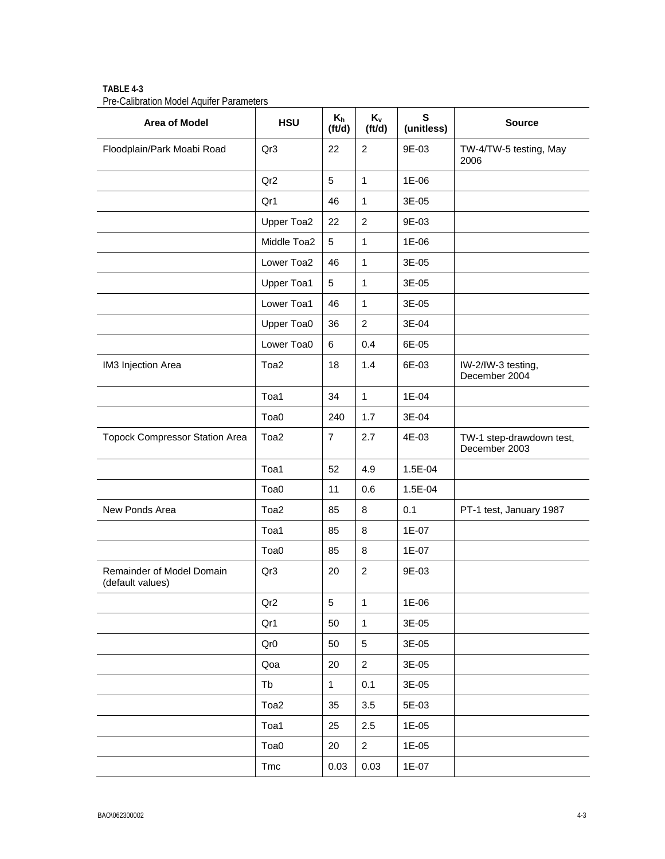| Area of Model                                 | <b>HSU</b>      | $K_h$<br>(ttd) | $K_v$<br>(ttd) | S<br>(unitless) | <b>Source</b>                             |
|-----------------------------------------------|-----------------|----------------|----------------|-----------------|-------------------------------------------|
| Floodplain/Park Moabi Road                    | Qr3             | 22             | $\overline{2}$ | 9E-03           | TW-4/TW-5 testing, May<br>2006            |
|                                               | Qr <sub>2</sub> | 5              | $\mathbf{1}$   | 1E-06           |                                           |
|                                               | Qr1             | 46             | $\mathbf{1}$   | 3E-05           |                                           |
|                                               | Upper Toa2      | 22             | $\overline{c}$ | 9E-03           |                                           |
|                                               | Middle Toa2     | $\sqrt{5}$     | $\mathbf{1}$   | 1E-06           |                                           |
|                                               | Lower Toa2      | 46             | $\mathbf{1}$   | 3E-05           |                                           |
|                                               | Upper Toa1      | 5              | $\mathbf{1}$   | 3E-05           |                                           |
|                                               | Lower Toa1      | 46             | $\mathbf{1}$   | 3E-05           |                                           |
|                                               | Upper Toa0      | 36             | $\overline{2}$ | 3E-04           |                                           |
|                                               | Lower Toa0      | 6              | 0.4            | 6E-05           |                                           |
| IM3 Injection Area                            | Toa2            | 18             | 1.4            | 6E-03           | IW-2/IW-3 testing,<br>December 2004       |
|                                               | Toa1            | 34             | $\mathbf{1}$   | 1E-04           |                                           |
|                                               | Toa0            | 240            | 1.7            | 3E-04           |                                           |
| <b>Topock Compressor Station Area</b>         | Toa2            | $\overline{7}$ | 2.7            | 4E-03           | TW-1 step-drawdown test,<br>December 2003 |
|                                               | Toa1            | 52             | 4.9            | 1.5E-04         |                                           |
|                                               | Toa0            | 11             | 0.6            | 1.5E-04         |                                           |
| New Ponds Area                                | Toa2            | 85             | 8              | 0.1             | PT-1 test, January 1987                   |
|                                               | Toa1            | 85             | 8              | 1E-07           |                                           |
|                                               | Toa0            | 85             | 8              | 1E-07           |                                           |
| Remainder of Model Domain<br>(default values) | Qr3             | 20             | $\overline{c}$ | 9E-03           |                                           |
|                                               | Qr <sub>2</sub> | 5              | $\mathbf{1}$   | 1E-06           |                                           |
|                                               | Qr1             | 50             | $\mathbf{1}$   | 3E-05           |                                           |
|                                               | Qr <sub>0</sub> | 50             | $\sqrt{5}$     | 3E-05           |                                           |
|                                               | Qoa             | 20             | $\overline{a}$ | 3E-05           |                                           |
|                                               | Tb              | $\mathbf{1}$   | 0.1            | 3E-05           |                                           |
|                                               | Toa2            | 35             | 3.5            | 5E-03           |                                           |
|                                               | Toa1            | 25             | 2.5            | 1E-05           |                                           |
|                                               | Toa0            | 20             | $\overline{a}$ | 1E-05           |                                           |
|                                               | Tmc             | 0.03           | 0.03           | $1E-07$         |                                           |

**TABLE 4-3**  Pre-Calibration Model Aquifer Parameters